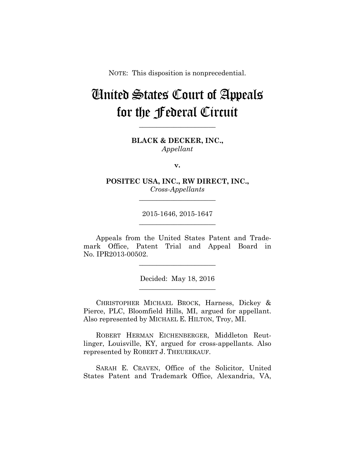NOTE: This disposition is nonprecedential.

# United States Court of Appeals for the Federal Circuit

**BLACK & DECKER, INC.,** *Appellant*

**\_\_\_\_\_\_\_\_\_\_\_\_\_\_\_\_\_\_\_\_\_\_** 

**v.**

**POSITEC USA, INC., RW DIRECT, INC.,** *Cross-Appellants*

**\_\_\_\_\_\_\_\_\_\_\_\_\_\_\_\_\_\_\_\_\_\_** 

2015-1646, 2015-1647 **\_\_\_\_\_\_\_\_\_\_\_\_\_\_\_\_\_\_\_\_\_\_** 

Appeals from the United States Patent and Trademark Office, Patent Trial and Appeal Board in No. IPR2013-00502.

**\_\_\_\_\_\_\_\_\_\_\_\_\_\_\_\_\_\_\_\_\_\_** 

Decided: May 18, 2016 **\_\_\_\_\_\_\_\_\_\_\_\_\_\_\_\_\_\_\_\_\_\_** 

CHRISTOPHER MICHAEL BROCK, Harness, Dickey & Pierce, PLC, Bloomfield Hills, MI, argued for appellant. Also represented by MICHAEL E. HILTON, Troy, MI.

ROBERT HERMAN EICHENBERGER, Middleton Reutlinger, Louisville, KY, argued for cross-appellants. Also represented by ROBERT J. THEUERKAUF.

SARAH E. CRAVEN, Office of the Solicitor, United States Patent and Trademark Office, Alexandria, VA,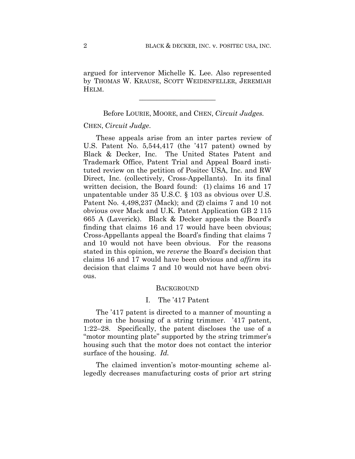argued for intervenor Michelle K. Lee. Also represented by THOMAS W. KRAUSE, SCOTT WEIDENFELLER, JEREMIAH HELM.

**\_\_\_\_\_\_\_\_\_\_\_\_\_\_\_\_\_\_\_\_\_\_** 

Before LOURIE, MOORE, and CHEN, *Circuit Judges.*

#### CHEN, *Circuit Judge*.

These appeals arise from an inter partes review of U.S. Patent No. 5,544,417 (the '417 patent) owned by Black & Decker, Inc. The United States Patent and Trademark Office, Patent Trial and Appeal Board instituted review on the petition of Positec USA, Inc. and RW Direct, Inc. (collectively, Cross-Appellants). In its final written decision, the Board found: (1) claims 16 and 17 unpatentable under 35 U.S.C. § 103 as obvious over U.S. Patent No. 4,498,237 (Mack); and (2) claims 7 and 10 not obvious over Mack and U.K. Patent Application GB 2 115 665 A (Laverick). Black & Decker appeals the Board's finding that claims 16 and 17 would have been obvious; Cross-Appellants appeal the Board's finding that claims 7 and 10 would not have been obvious. For the reasons stated in this opinion, we *reverse* the Board's decision that claims 16 and 17 would have been obvious and *affirm* its decision that claims 7 and 10 would not have been obvious.

## BACKGROUND

# I. The '417 Patent

The '417 patent is directed to a manner of mounting a motor in the housing of a string trimmer. '417 patent, 1:22–28. Specifically, the patent discloses the use of a "motor mounting plate" supported by the string trimmer's housing such that the motor does not contact the interior surface of the housing. *Id.*

The claimed invention's motor-mounting scheme allegedly decreases manufacturing costs of prior art string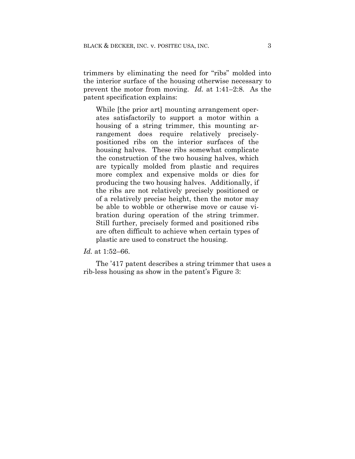trimmers by eliminating the need for "ribs" molded into the interior surface of the housing otherwise necessary to prevent the motor from moving. *Id.* at 1:41–2:8. As the patent specification explains:

While [the prior art] mounting arrangement operates satisfactorily to support a motor within a housing of a string trimmer, this mounting arrangement does require relatively preciselypositioned ribs on the interior surfaces of the housing halves. These ribs somewhat complicate the construction of the two housing halves, which are typically molded from plastic and requires more complex and expensive molds or dies for producing the two housing halves. Additionally, if the ribs are not relatively precisely positioned or of a relatively precise height, then the motor may be able to wobble or otherwise move or cause vibration during operation of the string trimmer. Still further, precisely formed and positioned ribs are often difficult to achieve when certain types of plastic are used to construct the housing.

#### *Id.* at 1:52–66.

The '417 patent describes a string trimmer that uses a rib-less housing as show in the patent's Figure 3: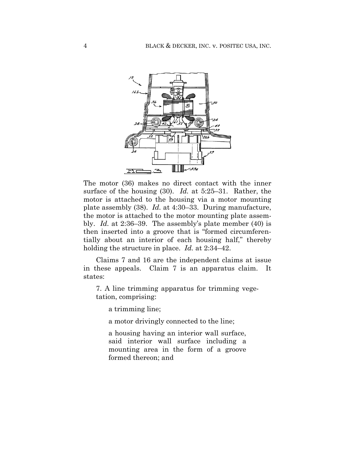

The motor (36) makes no direct contact with the inner surface of the housing (30). *Id.* at 5:25–31. Rather, the motor is attached to the housing via a motor mounting plate assembly (38). *Id.* at 4:30–33. During manufacture, the motor is attached to the motor mounting plate assembly. *Id.* at 2:36–39. The assembly's plate member (40) is then inserted into a groove that is "formed circumferentially about an interior of each housing half," thereby holding the structure in place. *Id.* at 2:34–42.

Claims 7 and 16 are the independent claims at issue in these appeals. Claim 7 is an apparatus claim. It states:

7. A line trimming apparatus for trimming vegetation, comprising:

a trimming line;

a motor drivingly connected to the line;

a housing having an interior wall surface, said interior wall surface including a mounting area in the form of a groove formed thereon; and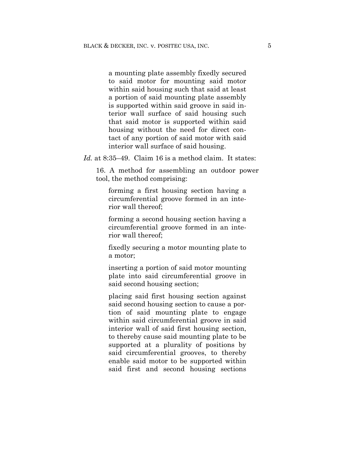a mounting plate assembly fixedly secured to said motor for mounting said motor within said housing such that said at least a portion of said mounting plate assembly is supported within said groove in said interior wall surface of said housing such that said motor is supported within said housing without the need for direct contact of any portion of said motor with said interior wall surface of said housing.

*Id.* at 8:35–49. Claim 16 is a method claim. It states:

16. A method for assembling an outdoor power tool, the method comprising:

forming a first housing section having a circumferential groove formed in an interior wall thereof;

forming a second housing section having a circumferential groove formed in an interior wall thereof;

fixedly securing a motor mounting plate to a motor;

inserting a portion of said motor mounting plate into said circumferential groove in said second housing section;

placing said first housing section against said second housing section to cause a portion of said mounting plate to engage within said circumferential groove in said interior wall of said first housing section, to thereby cause said mounting plate to be supported at a plurality of positions by said circumferential grooves, to thereby enable said motor to be supported within said first and second housing sections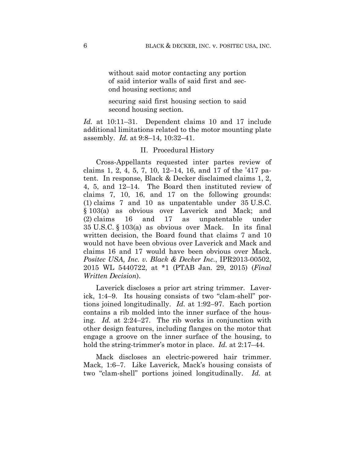without said motor contacting any portion of said interior walls of said first and second housing sections; and

securing said first housing section to said second housing section.

*Id.* at 10:11–31. Dependent claims 10 and 17 include additional limitations related to the motor mounting plate assembly. *Id.* at 9:8–14, 10:32–41.

#### II. Procedural History

Cross-Appellants requested inter partes review of claims 1, 2, 4, 5, 7, 10, 12–14, 16, and 17 of the '417 patent. In response, Black & Decker disclaimed claims 1, 2, 4, 5, and 12–14. The Board then instituted review of claims 7, 10, 16, and 17 on the following grounds: (1) claims 7 and 10 as unpatentable under 35 U.S.C. § 103(a) as obvious over Laverick and Mack; and (2) claims 16 and 17 as unpatentable under 35 U.S.C. § 103(a) as obvious over Mack. In its final written decision, the Board found that claims 7 and 10 would not have been obvious over Laverick and Mack and claims 16 and 17 would have been obvious over Mack. *Positec USA, Inc. v. Black & Decker Inc.*, IPR2013-00502, 2015 WL 5440722, at \*1 (PTAB Jan. 29, 2015) (*Final Written Decision*).

Laverick discloses a prior art string trimmer. Laverick, 1:4–9. Its housing consists of two "clam-shell" portions joined longitudinally. *Id.* at 1:92–97. Each portion contains a rib molded into the inner surface of the housing. *Id.* at 2:24–27. The rib works in conjunction with other design features, including flanges on the motor that engage a groove on the inner surface of the housing, to hold the string-trimmer's motor in place. *Id.* at 2:17–44.

Mack discloses an electric-powered hair trimmer. Mack, 1:6–7. Like Laverick, Mack's housing consists of two "clam-shell" portions joined longitudinally. *Id.* at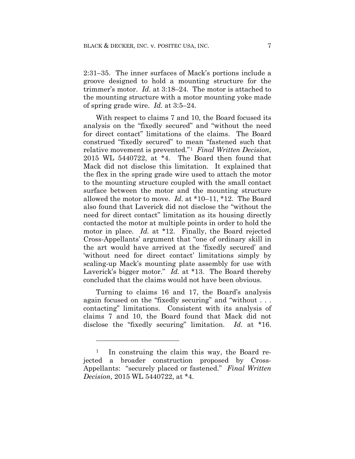2:31–35. The inner surfaces of Mack's portions include a groove designed to hold a mounting structure for the trimmer's motor. *Id.* at 3:18–24. The motor is attached to the mounting structure with a motor mounting yoke made of spring grade wire. *Id.* at 3:5–24.

With respect to claims 7 and 10, the Board focused its analysis on the "fixedly secured" and "without the need for direct contact" limitations of the claims. The Board construed "fixedly secured" to mean "fastened such that relative movement is prevented."1 *Final Written Decision*, 2015 WL 5440722, at \*4. The Board then found that Mack did not disclose this limitation. It explained that the flex in the spring grade wire used to attach the motor to the mounting structure coupled with the small contact surface between the motor and the mounting structure allowed the motor to move. *Id.* at \*10–11, \*12. The Board also found that Laverick did not disclose the "without the need for direct contact" limitation as its housing directly contacted the motor at multiple points in order to hold the motor in place. *Id.* at \*12. Finally, the Board rejected Cross-Appellants' argument that "one of ordinary skill in the art would have arrived at the 'fixedly secured' and 'without need for direct contact' limitations simply by scaling-up Mack's mounting plate assembly for use with Laverick's bigger motor." *Id.* at \*13. The Board thereby concluded that the claims would not have been obvious.

Turning to claims 16 and 17, the Board's analysis again focused on the "fixedly securing" and "without . . . contacting" limitations. Consistent with its analysis of claims 7 and 10, the Board found that Mack did not disclose the "fixedly securing" limitation. *Id.* at \*16.

<u>.</u>

In construing the claim this way, the Board rejected a broader construction proposed by Cross-Appellants: "securely placed or fastened." *Final Written Decision*, 2015 WL 5440722, at \*4.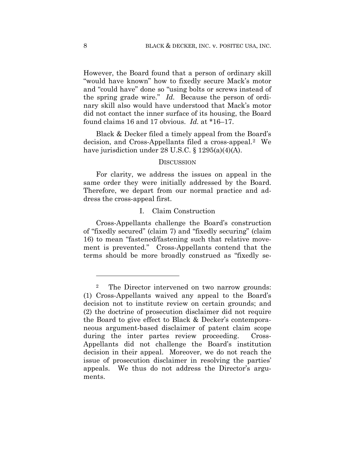However, the Board found that a person of ordinary skill "would have known" how to fixedly secure Mack's motor and "could have" done so "using bolts or screws instead of the spring grade wire." *Id.* Because the person of ordinary skill also would have understood that Mack's motor did not contact the inner surface of its housing, the Board found claims 16 and 17 obvious. *Id.* at \*16–17.

Black & Decker filed a timely appeal from the Board's decision, and Cross-Appellants filed a cross-appeal.2 We have jurisdiction under 28 U.S.C. § 1295(a)(4)(A).

#### **DISCUSSION**

For clarity, we address the issues on appeal in the same order they were initially addressed by the Board. Therefore, we depart from our normal practice and address the cross-appeal first.

#### I. Claim Construction

Cross-Appellants challenge the Board's construction of "fixedly secured" (claim 7) and "fixedly securing" (claim 16) to mean "fastened/fastening such that relative movement is prevented." Cross-Appellants contend that the terms should be more broadly construed as "fixedly se-

1

<sup>2</sup> The Director intervened on two narrow grounds: (1) Cross-Appellants waived any appeal to the Board's decision not to institute review on certain grounds; and (2) the doctrine of prosecution disclaimer did not require the Board to give effect to Black & Decker's contemporaneous argument-based disclaimer of patent claim scope during the inter partes review proceeding. Cross-Appellants did not challenge the Board's institution decision in their appeal. Moreover, we do not reach the issue of prosecution disclaimer in resolving the parties' appeals. We thus do not address the Director's arguments.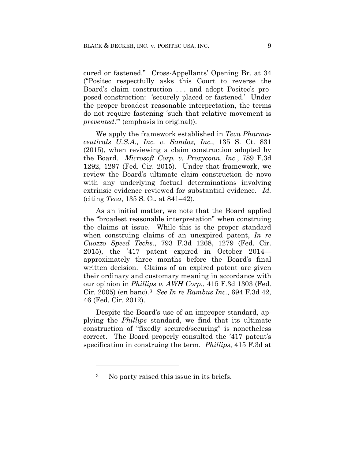cured or fastened." Cross-Appellants' Opening Br. at 34 ("Positec respectfully asks this Court to reverse the Board's claim construction . . . and adopt Positec's proposed construction: 'securely placed or fastened.' Under the proper broadest reasonable interpretation, the terms do not require fastening 'such that relative movement is *prevented*.'" (emphasis in original)).

We apply the framework established in *Teva Pharmaceuticals U.S.A., Inc. v. Sandoz, Inc.*, 135 S. Ct. 831 (2015), when reviewing a claim construction adopted by the Board. *Microsoft Corp. v. Proxyconn, Inc.*, 789 F.3d 1292, 1297 (Fed. Cir. 2015). Under that framework, we review the Board's ultimate claim construction de novo with any underlying factual determinations involving extrinsic evidence reviewed for substantial evidence. *Id.* (citing *Teva*, 135 S. Ct. at 841–42).

As an initial matter, we note that the Board applied the "broadest reasonable interpretation" when construing the claims at issue. While this is the proper standard when construing claims of an unexpired patent, *In re Cuozzo Speed Techs.*, 793 F.3d 1268, 1279 (Fed. Cir. 2015), the '417 patent expired in October 2014 approximately three months before the Board's final written decision. Claims of an expired patent are given their ordinary and customary meaning in accordance with our opinion in *Phillips v. AWH Corp.*, 415 F.3d 1303 (Fed. Cir. 2005) (en banc).3 *See In re Rambus Inc.*, 694 F.3d 42, 46 (Fed. Cir. 2012).

Despite the Board's use of an improper standard, applying the *Phillips* standard, we find that its ultimate construction of "fixedly secured/securing" is nonetheless correct. The Board properly consulted the '417 patent's specification in construing the term. *Phillips*, 415 F.3d at

<u>.</u>

<sup>3</sup> No party raised this issue in its briefs.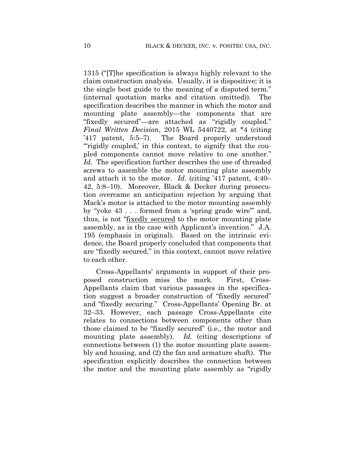1315 ("[T]he specification is always highly relevant to the claim construction analysis. Usually, it is dispositive; it is the single best guide to the meaning of a disputed term." (internal quotation marks and citation omitted)). The specification describes the manner in which the motor and mounting plate assembly—the components that are "fixedly secured"—are attached as "rigidly coupled." *Final Written Decision*, 2015 WL 5440722, at \*4 (citing '417 patent, 5:5–7). The Board properly understood "rigidly coupled,' in this context, to signify that the coupled components cannot move relative to one another." *Id.* The specification further describes the use of threaded screws to assemble the motor mounting plate assembly and attach it to the motor. *Id.* (citing '417 patent, 4:40– 42, 5:8–10). Moreover, Black & Decker during prosecution overcame an anticipation rejection by arguing that Mack's motor is attached to the motor mounting assembly by "yoke 43 . . . formed from a 'spring grade wire'" and, thus, is not "fixedly secured to the motor mounting plate assembly, as is the case with Applicant's invention." J.A. 195 (emphasis in original). Based on the intrinsic evidence, the Board properly concluded that components that are "fixedly secured," in this context, cannot move relative to each other.

Cross-Appellants' arguments in support of their proposed construction miss the mark. First, Cross-Appellants claim that various passages in the specification suggest a broader construction of "fixedly secured" and "fixedly securing." Cross-Appellants' Opening Br. at 32–33. However, each passage Cross-Appellants cite relates to connections between components other than those claimed to be "fixedly secured" (i.e., the motor and mounting plate assembly). *Id.* (citing descriptions of connections between (1) the motor mounting plate assembly and housing, and (2) the fan and armature shaft). The specification explicitly describes the connection between the motor and the mounting plate assembly as "rigidly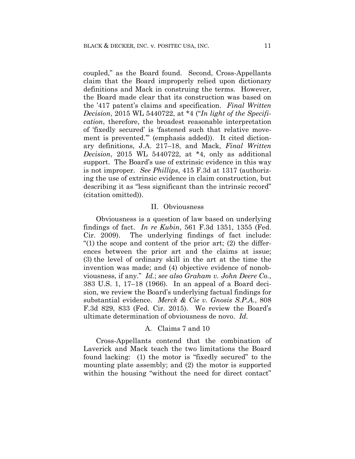coupled," as the Board found. Second, Cross-Appellants claim that the Board improperly relied upon dictionary definitions and Mack in construing the terms. However, the Board made clear that its construction was based on the '417 patent's claims and specification. *Final Written Decision*, 2015 WL 5440722, at \*4 ("*In light of the Specification*, therefore, the broadest reasonable interpretation of 'fixedly secured' is 'fastened such that relative movement is prevented.'" (emphasis added)). It cited dictionary definitions, J.A. 217–18, and Mack, *Final Written Decision*, 2015 WL 5440722, at \*4, only as additional support. The Board's use of extrinsic evidence in this way is not improper. *See Phillips*, 415 F.3d at 1317 (authorizing the use of extrinsic evidence in claim construction, but describing it as "less significant than the intrinsic record" (citation omitted)).

### II. Obviousness

Obviousness is a question of law based on underlying findings of fact. *In re Kubin*, 561 F.3d 1351, 1355 (Fed. Cir. 2009). The underlying findings of fact include: "(1) the scope and content of the prior art; (2) the differences between the prior art and the claims at issue; (3) the level of ordinary skill in the art at the time the invention was made; and (4) objective evidence of nonobviousness, if any." *Id.*; *see also Graham v. John Deere Co.*, 383 U.S. 1, 17–18 (1966). In an appeal of a Board decision, we review the Board's underlying factual findings for substantial evidence. *Merck & Cie v. Gnosis S.P.A.*, 808 F.3d 829, 833 (Fed. Cir. 2015). We review the Board's ultimate determination of obviousness de novo. *Id.*

## A. Claims 7 and 10

Cross-Appellants contend that the combination of Laverick and Mack teach the two limitations the Board found lacking: (1) the motor is "fixedly secured" to the mounting plate assembly; and (2) the motor is supported within the housing "without the need for direct contact"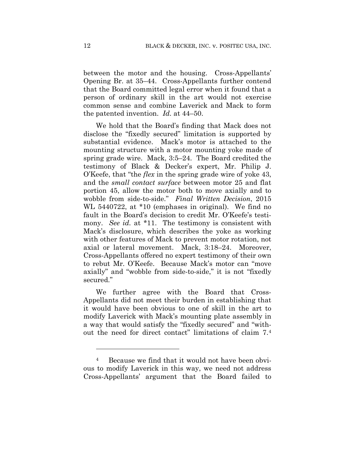between the motor and the housing. Cross-Appellants' Opening Br. at 35–44. Cross-Appellants further contend that the Board committed legal error when it found that a person of ordinary skill in the art would not exercise common sense and combine Laverick and Mack to form the patented invention. *Id.* at 44–50.

We hold that the Board's finding that Mack does not disclose the "fixedly secured" limitation is supported by substantial evidence. Mack's motor is attached to the mounting structure with a motor mounting yoke made of spring grade wire. Mack, 3:5–24. The Board credited the testimony of Black & Decker's expert, Mr. Philip J. O'Keefe, that "the *flex* in the spring grade wire of yoke 43, and the *small contact surface* between motor 25 and flat portion 45, allow the motor both to move axially and to wobble from side-to-side." *Final Written Decision*, 2015 WL 5440722, at \*10 (emphases in original). We find no fault in the Board's decision to credit Mr. O'Keefe's testimony. *See id.* at \*11. The testimony is consistent with Mack's disclosure, which describes the yoke as working with other features of Mack to prevent motor rotation, not axial or lateral movement. Mack, 3:18–24. Moreover, Cross-Appellants offered no expert testimony of their own to rebut Mr. O'Keefe. Because Mack's motor can "move axially" and "wobble from side-to-side," it is not "fixedly secured."

We further agree with the Board that Cross-Appellants did not meet their burden in establishing that it would have been obvious to one of skill in the art to modify Laverick with Mack's mounting plate assembly in a way that would satisfy the "fixedly secured" and "without the need for direct contact" limitations of claim 7.4

1

<sup>4</sup> Because we find that it would not have been obvious to modify Laverick in this way, we need not address Cross-Appellants' argument that the Board failed to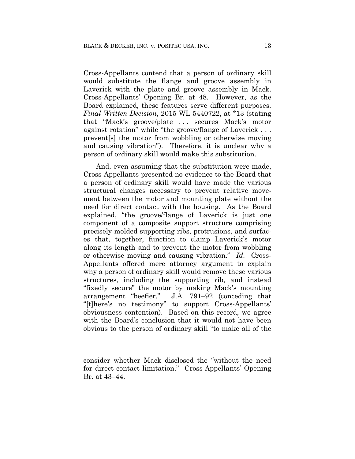Cross-Appellants contend that a person of ordinary skill would substitute the flange and groove assembly in Laverick with the plate and groove assembly in Mack. Cross-Appellants' Opening Br. at 48. However, as the Board explained, these features serve different purposes. *Final Written Decision*, 2015 WL 5440722, at \*13 (stating that "Mack's groove/plate ... secures Mack's motor against rotation" while "the groove/flange of Laverick . . . prevent[s] the motor from wobbling or otherwise moving and causing vibration"). Therefore, it is unclear why a person of ordinary skill would make this substitution.

And, even assuming that the substitution were made, Cross-Appellants presented no evidence to the Board that a person of ordinary skill would have made the various structural changes necessary to prevent relative movement between the motor and mounting plate without the need for direct contact with the housing. As the Board explained, "the groove/flange of Laverick is just one component of a composite support structure comprising precisely molded supporting ribs, protrusions, and surfaces that, together, function to clamp Laverick's motor along its length and to prevent the motor from wobbling or otherwise moving and causing vibration." *Id.* Cross-Appellants offered mere attorney argument to explain why a person of ordinary skill would remove these various structures, including the supporting rib, and instead "fixedly secure" the motor by making Mack's mounting J.A.  $791-92$  (conceding that "[t]here's no testimony" to support Cross-Appellants' obviousness contention). Based on this record, we agree with the Board's conclusion that it would not have been obvious to the person of ordinary skill "to make all of the

l

consider whether Mack disclosed the "without the need for direct contact limitation." Cross-Appellants' Opening Br. at 43–44.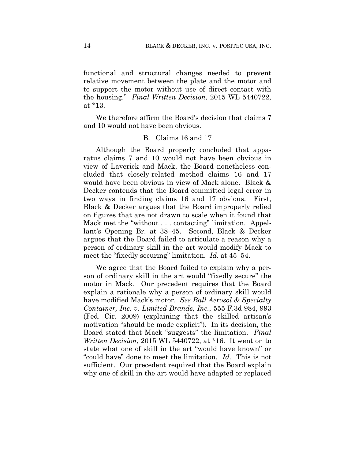functional and structural changes needed to prevent relative movement between the plate and the motor and to support the motor without use of direct contact with the housing." *Final Written Decision*, 2015 WL 5440722, at \*13.

We therefore affirm the Board's decision that claims 7 and 10 would not have been obvious.

## B. Claims 16 and 17

Although the Board properly concluded that apparatus claims 7 and 10 would not have been obvious in view of Laverick and Mack, the Board nonetheless concluded that closely-related method claims 16 and 17 would have been obvious in view of Mack alone. Black & Decker contends that the Board committed legal error in two ways in finding claims 16 and 17 obvious. First, Black & Decker argues that the Board improperly relied on figures that are not drawn to scale when it found that Mack met the "without . . . contacting" limitation. Appellant's Opening Br. at 38–45. Second, Black & Decker argues that the Board failed to articulate a reason why a person of ordinary skill in the art would modify Mack to meet the "fixedly securing" limitation. *Id.* at 45–54.

We agree that the Board failed to explain why a person of ordinary skill in the art would "fixedly secure" the motor in Mack. Our precedent requires that the Board explain a rationale why a person of ordinary skill would have modified Mack's motor. *See Ball Aerosol & Specialty Container, Inc. v. Limited Brands, Inc.*, 555 F.3d 984, 993 (Fed. Cir. 2009) (explaining that the skilled artisan's motivation "should be made explicit"). In its decision, the Board stated that Mack "suggests" the limitation. *Final Written Decision*, 2015 WL 5440722, at \*16. It went on to state what one of skill in the art "would have known" or "could have" done to meet the limitation. *Id.* This is not sufficient. Our precedent required that the Board explain why one of skill in the art would have adapted or replaced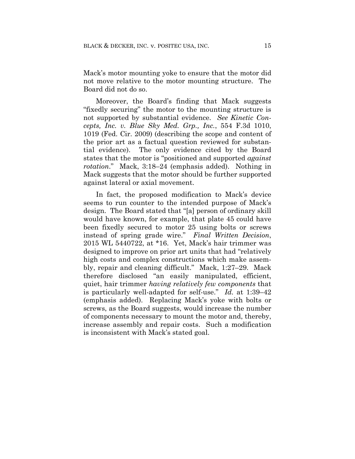Mack's motor mounting yoke to ensure that the motor did not move relative to the motor mounting structure. The Board did not do so.

Moreover, the Board's finding that Mack suggests "fixedly securing" the motor to the mounting structure is not supported by substantial evidence. *See Kinetic Concepts, Inc. v. Blue Sky Med. Grp., Inc.*, 554 F.3d 1010, 1019 (Fed. Cir. 2009) (describing the scope and content of the prior art as a factual question reviewed for substantial evidence). The only evidence cited by the Board states that the motor is "positioned and supported *against rotation*." Mack, 3:18–24 (emphasis added). Nothing in Mack suggests that the motor should be further supported against lateral or axial movement.

In fact, the proposed modification to Mack's device seems to run counter to the intended purpose of Mack's design. The Board stated that "[a] person of ordinary skill would have known, for example, that plate 45 could have been fixedly secured to motor 25 using bolts or screws instead of spring grade wire." *Final Written Decision*, 2015 WL 5440722, at \*16. Yet, Mack's hair trimmer was designed to improve on prior art units that had "relatively high costs and complex constructions which make assembly, repair and cleaning difficult." Mack, 1:27–29. Mack therefore disclosed "an easily manipulated, efficient, quiet, hair trimmer *having relatively few components* that is particularly well-adapted for self-use." *Id.* at 1:39–42 (emphasis added). Replacing Mack's yoke with bolts or screws, as the Board suggests, would increase the number of components necessary to mount the motor and, thereby, increase assembly and repair costs. Such a modification is inconsistent with Mack's stated goal.